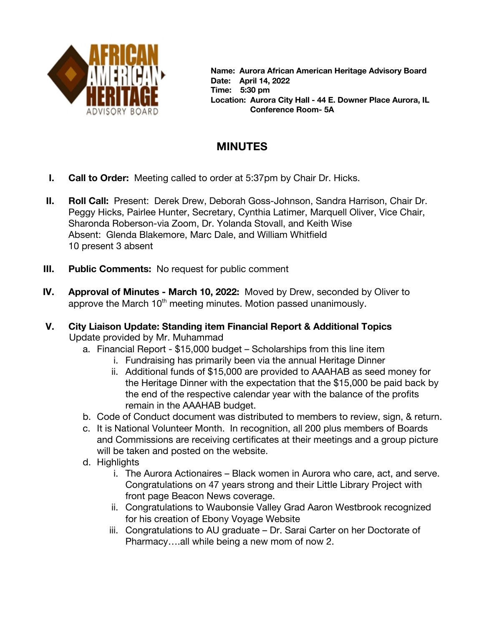

**Name: Aurora African American Heritage Advisory Board Date: April 14, 2022 Time: 5:30 pm Location: Aurora City Hall - 44 E. Downer Place Aurora, IL Conference Room- 5A**

# **MINUTES**

- **I. Call to Order:** Meeting called to order at 5:37pm by Chair Dr. Hicks.
- **II. Roll Call:** Present: Derek Drew, Deborah Goss-Johnson, Sandra Harrison, Chair Dr. Peggy Hicks, Pairlee Hunter, Secretary, Cynthia Latimer, Marquell Oliver, Vice Chair, Sharonda Roberson-via Zoom, Dr. Yolanda Stovall, and Keith Wise Absent: Glenda Blakemore, Marc Dale, and William Whitfield 10 present 3 absent
- **III. Public Comments:** No request for public comment
- **IV. Approval of Minutes - March 10, 2022:** Moved by Drew, seconded by Oliver to approve the March 10<sup>th</sup> meeting minutes. Motion passed unanimously.
- **V. City Liaison Update: Standing item Financial Report & Additional Topics** Update provided by Mr. Muhammad
	- a. Financial Report \$15,000 budget Scholarships from this line item
		- i. Fundraising has primarily been via the annual Heritage Dinner
		- ii. Additional funds of \$15,000 are provided to AAAHAB as seed money for the Heritage Dinner with the expectation that the \$15,000 be paid back by the end of the respective calendar year with the balance of the profits remain in the AAAHAB budget.
	- b. Code of Conduct document was distributed to members to review, sign, & return.
	- c. It is National Volunteer Month. In recognition, all 200 plus members of Boards and Commissions are receiving certificates at their meetings and a group picture will be taken and posted on the website.
	- d. Highlights
		- i. The Aurora Actionaires Black women in Aurora who care, act, and serve. Congratulations on 47 years strong and their Little Library Project with front page Beacon News coverage.
		- ii. Congratulations to Waubonsie Valley Grad Aaron Westbrook recognized for his creation of Ebony Voyage Website
		- iii. Congratulations to AU graduate Dr. Sarai Carter on her Doctorate of Pharmacy….all while being a new mom of now 2.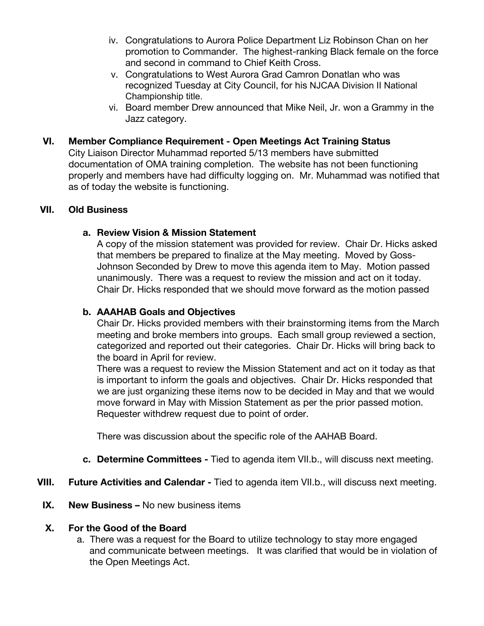- iv. Congratulations to Aurora Police Department Liz Robinson Chan on her promotion to Commander. The highest-ranking Black female on the force and second in command to Chief Keith Cross.
- v. Congratulations to West Aurora Grad Camron Donatlan who was recognized Tuesday at City Council, for his NJCAA Division II National Championship title.
- vi. Board member Drew announced that Mike Neil, Jr. won a Grammy in the Jazz category.

## **VI. Member Compliance Requirement - Open Meetings Act Training Status**

City Liaison Director Muhammad reported 5/13 members have submitted documentation of OMA training completion. The website has not been functioning properly and members have had difficulty logging on. Mr. Muhammad was notified that as of today the website is functioning.

#### **VII. Old Business**

### **a. Review Vision & Mission Statement**

A copy of the mission statement was provided for review. Chair Dr. Hicks asked that members be prepared to finalize at the May meeting. Moved by Goss-Johnson Seconded by Drew to move this agenda item to May. Motion passed unanimously. There was a request to review the mission and act on it today. Chair Dr. Hicks responded that we should move forward as the motion passed

### **b. AAAHAB Goals and Objectives**

Chair Dr. Hicks provided members with their brainstorming items from the March meeting and broke members into groups. Each small group reviewed a section, categorized and reported out their categories. Chair Dr. Hicks will bring back to the board in April for review.

There was a request to review the Mission Statement and act on it today as that is important to inform the goals and objectives. Chair Dr. Hicks responded that we are just organizing these items now to be decided in May and that we would move forward in May with Mission Statement as per the prior passed motion. Requester withdrew request due to point of order.

There was discussion about the specific role of the AAHAB Board.

- **c. Determine Committees -** Tied to agenda item VII.b., will discuss next meeting.
- **VIII. Future Activities and Calendar -** Tied to agenda item VII.b., will discuss next meeting.
- **IX. New Business –** No new business items

### **X. For the Good of the Board**

 a. There was a request for the Board to utilize technology to stay more engaged and communicate between meetings. It was clarified that would be in violation of the Open Meetings Act.